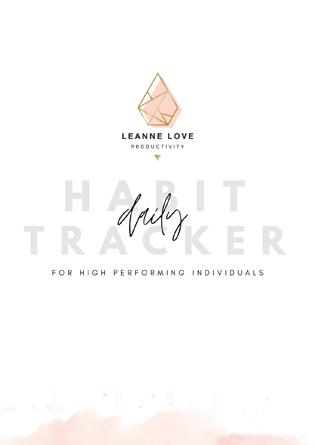

#### FOR HIGH PERFORMING INDIVIDUALS

ý.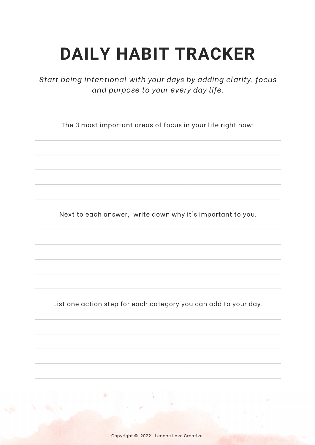*Start being intentional with your days by adding clarity, focus and purpose to your every day life.*

The 3 most important areas of focus in your life right now:

Next to each answer, write down why it's important to you.

List one action step for each category you can add to your day.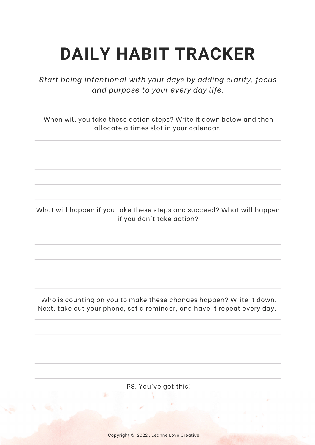*Start being intentional with your days by adding clarity, focus and purpose to your every day life.*

When will you take these action steps? Write it down below and then allocate a times slot in your calendar.

What will happen if you take these steps and succeed? What will happen if you don't take action?

Who is counting on you to make these changes happen? Write it down. Next, take out your phone, set a reminder, and have it repeat every day.

PS. You've got this!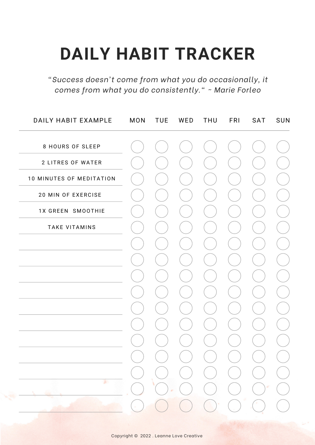*"Success doesn't come from what you do occasionally, it comes from what you do consistently." ~ Marie Forleo*

| DAILY HABIT EXAMPLE      | <b>MON</b>                                          | <b>TUE</b>                             | WED                                    | <b>THU</b>                                                                                                                                                                                                                                                                                                                                          | FRI                                         | SAT                                            | SUN |
|--------------------------|-----------------------------------------------------|----------------------------------------|----------------------------------------|-----------------------------------------------------------------------------------------------------------------------------------------------------------------------------------------------------------------------------------------------------------------------------------------------------------------------------------------------------|---------------------------------------------|------------------------------------------------|-----|
| <b>8 HOURS OF SLEEP</b>  |                                                     |                                        |                                        |                                                                                                                                                                                                                                                                                                                                                     |                                             |                                                |     |
| 2 LITRES OF WATER        |                                                     |                                        |                                        |                                                                                                                                                                                                                                                                                                                                                     |                                             |                                                |     |
| 10 MINUTES OF MEDITATION |                                                     |                                        |                                        |                                                                                                                                                                                                                                                                                                                                                     |                                             |                                                |     |
| 20 MIN OF EXERCISE       |                                                     |                                        |                                        |                                                                                                                                                                                                                                                                                                                                                     |                                             |                                                |     |
| 1X GREEN SMOOTHIE        |                                                     |                                        |                                        |                                                                                                                                                                                                                                                                                                                                                     |                                             |                                                |     |
| <b>TAKE VITAMINS</b>     |                                                     |                                        |                                        |                                                                                                                                                                                                                                                                                                                                                     |                                             |                                                |     |
|                          |                                                     |                                        |                                        |                                                                                                                                                                                                                                                                                                                                                     |                                             |                                                |     |
|                          |                                                     |                                        |                                        |                                                                                                                                                                                                                                                                                                                                                     |                                             |                                                |     |
|                          |                                                     |                                        |                                        |                                                                                                                                                                                                                                                                                                                                                     |                                             |                                                |     |
|                          |                                                     |                                        |                                        |                                                                                                                                                                                                                                                                                                                                                     |                                             |                                                |     |
|                          |                                                     |                                        |                                        |                                                                                                                                                                                                                                                                                                                                                     |                                             |                                                |     |
|                          |                                                     |                                        |                                        |                                                                                                                                                                                                                                                                                                                                                     |                                             |                                                |     |
|                          |                                                     |                                        |                                        |                                                                                                                                                                                                                                                                                                                                                     |                                             |                                                |     |
|                          |                                                     |                                        |                                        | $\begin{pmatrix} 1 & 1 \\ 1 & 1 \end{pmatrix}$                                                                                                                                                                                                                                                                                                      | $\left(\begin{array}{c} \end{array}\right)$ | $\begin{pmatrix} 1 \\ 1 \end{pmatrix}$         |     |
| æ.                       |                                                     | $\begin{pmatrix} 1 \\ 1 \end{pmatrix}$ |                                        | $\begin{picture}(130,10) \put(0,0){\line(1,0){10}} \put(15,0){\line(1,0){10}} \put(15,0){\line(1,0){10}} \put(15,0){\line(1,0){10}} \put(15,0){\line(1,0){10}} \put(15,0){\line(1,0){10}} \put(15,0){\line(1,0){10}} \put(15,0){\line(1,0){10}} \put(15,0){\line(1,0){10}} \put(15,0){\line(1,0){10}} \put(15,0){\line(1,0){10}} \put(15,0){\line($ | $\bigcup$                                   | $\begin{pmatrix} 1 \\ 1 \end{pmatrix}$         |     |
|                          |                                                     |                                        | $\bigcirc$                             | $\bigcirc$                                                                                                                                                                                                                                                                                                                                          | $\bigcirc$                                  | $\bigcirc$                                     |     |
|                          | $\left( \begin{array}{c} \cdot \end{array} \right)$ | $\big)$                                | $\begin{pmatrix} 1 \\ 1 \end{pmatrix}$ |                                                                                                                                                                                                                                                                                                                                                     | $\bigcirc$ $\bigcirc$                       | $\begin{pmatrix} 1 & 1 \\ 1 & 1 \end{pmatrix}$ |     |
|                          |                                                     |                                        |                                        |                                                                                                                                                                                                                                                                                                                                                     |                                             |                                                |     |